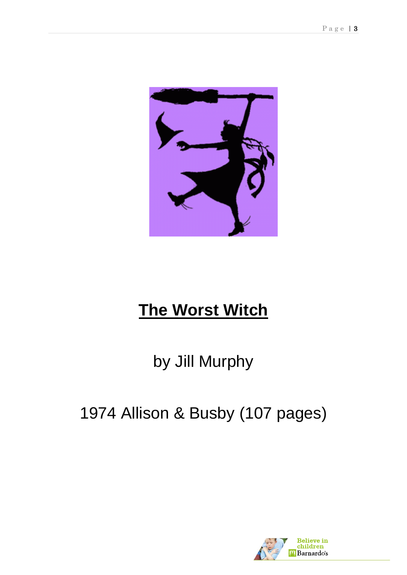

# **The Worst Witch**

by Jill Murphy

## 1974 Allison & Busby (107 pages)

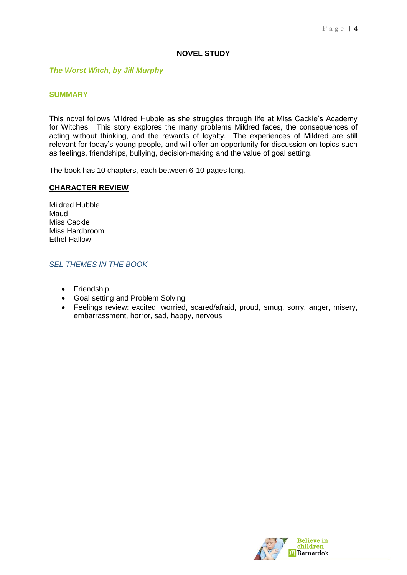## **NOVEL STUDY**

#### *The Worst Witch, by Jill Murphy*

#### **SUMMARY**

This novel follows Mildred Hubble as she struggles through life at Miss Cackle's Academy for Witches. This story explores the many problems Mildred faces, the consequences of acting without thinking, and the rewards of loyalty. The experiences of Mildred are still relevant for today's young people, and will offer an opportunity for discussion on topics such as feelings, friendships, bullying, decision-making and the value of goal setting.

The book has 10 chapters, each between 6-10 pages long.

#### **CHARACTER REVIEW**

Mildred Hubble Maud Miss Cackle Miss Hardbroom Ethel Hallow

#### *SEL THEMES IN THE BOOK*

- Friendship
- Goal setting and Problem Solving
- Feelings review: excited, worried, scared/afraid, proud, smug, sorry, anger, misery, embarrassment, horror, sad, happy, nervous

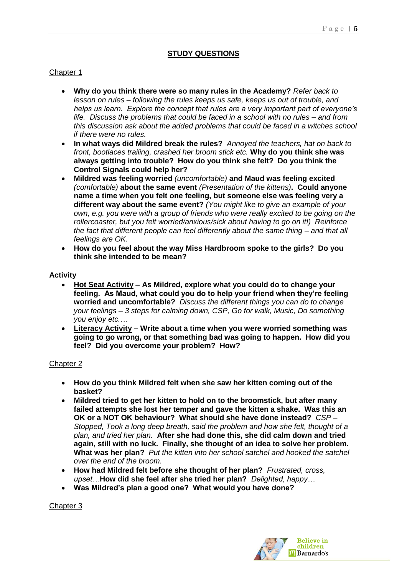## **STUDY QUESTIONS**

## Chapter 1

- **Why do you think there were so many rules in the Academy?** *Refer back to lesson on rules – following the rules keeps us safe, keeps us out of trouble, and helps us learn. Explore the concept that rules are a very important part of everyone's life. Discuss the problems that could be faced in a school with no rules – and from this discussion ask about the added problems that could be faced in a witches school if there were no rules.*
- **In what ways did Mildred break the rules?** *Annoyed the teachers, hat on back to front, bootlaces trailing, crashed her broom stick etc.* **Why do you think she was always getting into trouble? How do you think she felt? Do you think the Control Signals could help her?**
- **Mildred was feeling worried** *(uncomfortable)* **and Maud was feeling excited**  *(comfortable)* **about the same event** *(Presentation of the kittens)***. Could anyone name a time when you felt one feeling, but someone else was feeling very a different way about the same event?** *(You might like to give an example of your own, e.g. you were with a group of friends who were really excited to be going on the rollercoaster, but you felt worried/anxious/sick about having to go on it!) Reinforce the fact that different people can feel differently about the same thing – and that all feelings are OK.*
- **How do you feel about the way Miss Hardbroom spoke to the girls? Do you think she intended to be mean?**

#### **Activity**

- **Hot Seat Activity – As Mildred, explore what you could do to change your feeling. As Maud, what could you do to help your friend when they're feeling worried and uncomfortable?** *Discuss the different things you can do to change your feelings – 3 steps for calming down, CSP, Go for walk, Music, Do something you enjoy etc.…*
- **Literacy Activity – Write about a time when you were worried something was going to go wrong, or that something bad was going to happen. How did you feel? Did you overcome your problem? How?**

## Chapter 2

- **How do you think Mildred felt when she saw her kitten coming out of the basket?**
- **Mildred tried to get her kitten to hold on to the broomstick, but after many failed attempts she lost her temper and gave the kitten a shake. Was this an OK or a NOT OK behaviour? What should she have done instead?** *CSP – Stopped, Took a long deep breath, said the problem and how she felt, thought of a plan, and tried her plan.* **After she had done this, she did calm down and tried again, still with no luck. Finally, she thought of an idea to solve her problem. What was her plan?** *Put the kitten into her school satchel and hooked the satchel over the end of the broom.*
- **How had Mildred felt before she thought of her plan?** *Frustrated, cross, upset…***How did she feel after she tried her plan?** *Delighted, happy…*
- **Was Mildred's plan a good one? What would you have done?**

Chapter 3

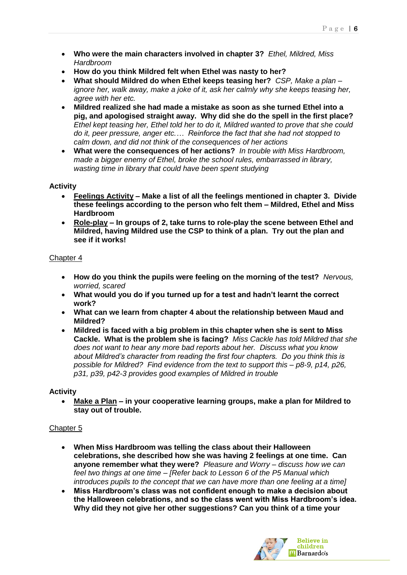- **Who were the main characters involved in chapter 3?** *Ethel, Mildred, Miss Hardbroom*
- **How do you think Mildred felt when Ethel was nasty to her?**
- **What should Mildred do when Ethel keeps teasing her?** *CSP, Make a plan – ignore her, walk away, make a joke of it, ask her calmly why she keeps teasing her, agree with her etc.*
- **Mildred realized she had made a mistake as soon as she turned Ethel into a pig, and apologised straight away. Why did she do the spell in the first place?**  *Ethel kept teasing her, Ethel told her to do it, Mildred wanted to prove that she could do it, peer pressure, anger etc.… Reinforce the fact that she had not stopped to calm down, and did not think of the consequences of her actions*
- **What were the consequences of her actions?** *In trouble with Miss Hardbroom, made a bigger enemy of Ethel, broke the school rules, embarrassed in library, wasting time in library that could have been spent studying*

## **Activity**

- **Feelings Activity – Make a list of all the feelings mentioned in chapter 3. Divide these feelings according to the person who felt them – Mildred, Ethel and Miss Hardbroom**
- **Role-play – In groups of 2, take turns to role-play the scene between Ethel and Mildred, having Mildred use the CSP to think of a plan. Try out the plan and see if it works!**

## Chapter 4

- **How do you think the pupils were feeling on the morning of the test?** *Nervous, worried, scared*
- **What would you do if you turned up for a test and hadn't learnt the correct work?**
- **What can we learn from chapter 4 about the relationship between Maud and Mildred?**
- **Mildred is faced with a big problem in this chapter when she is sent to Miss Cackle. What is the problem she is facing?** *Miss Cackle has told Mildred that she does not want to hear any more bad reports about her. Discuss what you know about Mildred's character from reading the first four chapters. Do you think this is possible for Mildred? Find evidence from the text to support this – p8-9, p14, p26, p31, p39, p42-3 provides good examples of Mildred in trouble*

## **Activity**

 **Make a Plan – in your cooperative learning groups, make a plan for Mildred to stay out of trouble.**

## Chapter 5

- **When Miss Hardbroom was telling the class about their Halloween celebrations, she described how she was having 2 feelings at one time. Can anyone remember what they were?** *Pleasure and Worry – discuss how we can feel two things at one time – [Refer back to Lesson 6 of the P5 Manual which introduces pupils to the concept that we can have more than one feeling at a time]*
- **Miss Hardbroom's class was not confident enough to make a decision about the Halloween celebrations, and so the class went with Miss Hardbroom's idea. Why did they not give her other suggestions? Can you think of a time your**

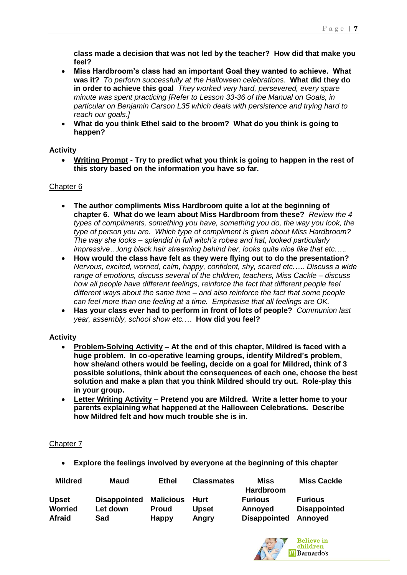**class made a decision that was not led by the teacher? How did that make you feel?**

- **Miss Hardbroom's class had an important Goal they wanted to achieve. What was it?** *To perform successfully at the Halloween celebrations.* **What did they do in order to achieve this goal** *They worked very hard, persevered, every spare minute was spent practicing [Refer to Lesson 33-36 of the Manual on Goals, in particular on Benjamin Carson L35 which deals with persistence and trying hard to reach our goals.]*
- **What do you think Ethel said to the broom? What do you think is going to happen?**

#### **Activity**

 **Writing Prompt - Try to predict what you think is going to happen in the rest of this story based on the information you have so far.**

## Chapter 6

- **The author compliments Miss Hardbroom quite a lot at the beginning of chapter 6. What do we learn about Miss Hardbroom from these?** *Review the 4 types of compliments, something you have, something you do, the way you look, the type of person you are. Which type of compliment is given about Miss Hardbroom? The way she looks – splendid in full witch's robes and hat, looked particularly impressive…long black hair streaming behind her, looks quite nice like that etc.….*
- **How would the class have felt as they were flying out to do the presentation?**  *Nervous, excited, worried, calm, happy, confident, shy, scared etc.…. Discuss a wide range of emotions, discuss several of the children, teachers, Miss Cackle – discuss how all people have different feelings, reinforce the fact that different people feel different ways about the same time – and also reinforce the fact that some people can feel more than one feeling at a time. Emphasise that all feelings are OK.*
- **Has your class ever had to perform in front of lots of people?** *Communion last year, assembly, school show etc.…* **How did you feel?**

#### **Activity**

- **Problem-Solving Activity – At the end of this chapter, Mildred is faced with a huge problem. In co-operative learning groups, identify Mildred's problem, how she/and others would be feeling, decide on a goal for Mildred, think of 3 possible solutions, think about the consequences of each one, choose the best solution and make a plan that you think Mildred should try out. Role-play this in your group.**
- **Letter Writing Activity – Pretend you are Mildred. Write a letter home to your parents explaining what happened at the Halloween Celebrations. Describe how Mildred felt and how much trouble she is in.**

## Chapter 7

**Explore the feelings involved by everyone at the beginning of this chapter**

| <b>Mildred</b> | Maud                | <b>Ethel</b>     | <b>Classmates</b> | Miss<br>Hardbroom   | <b>Miss Cackle</b>  |
|----------------|---------------------|------------------|-------------------|---------------------|---------------------|
| <b>Upset</b>   | <b>Disappointed</b> | <b>Malicious</b> | Hurt              | <b>Furious</b>      | <b>Furious</b>      |
| <b>Worried</b> | Let down            | Proud            | <b>Upset</b>      | Annoyed             | <b>Disappointed</b> |
| <b>Afraid</b>  | Sad                 | Happy            | Angry             | <b>Disappointed</b> | Annoyed             |